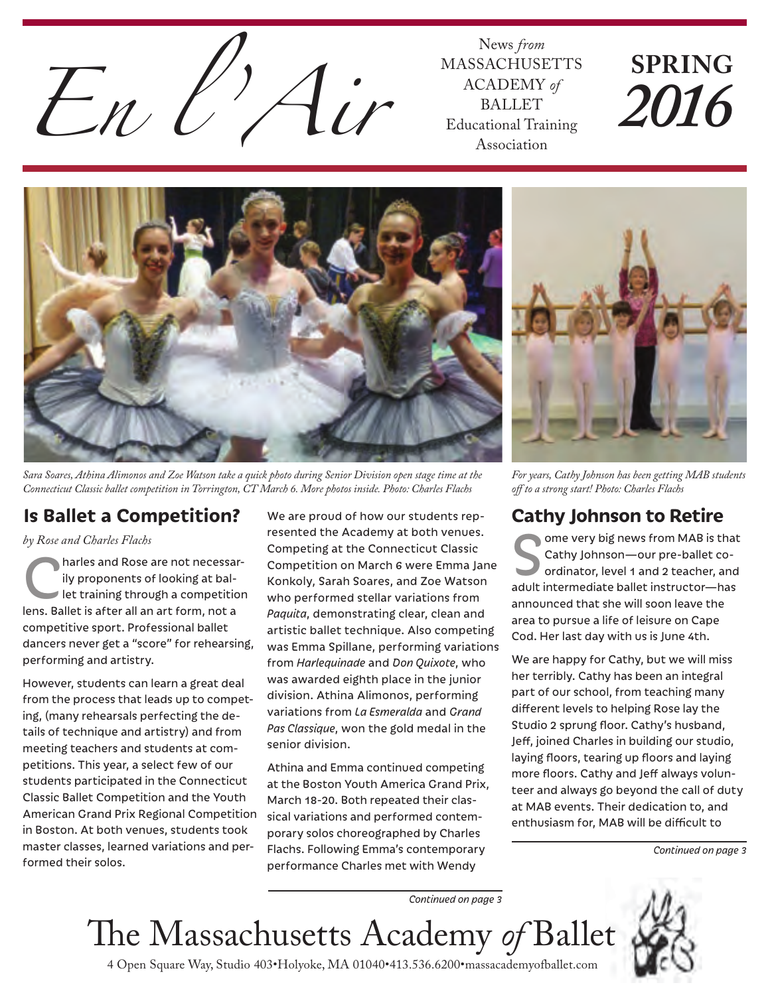

MASSACHUSETTS ACADEMY *of* BALLET Educational Training Association

# **SPRING** *2016*



*Sara Soares, Athina Alimonos and Zoe Watson take a quick photo during Senior Division open stage time at the Connecticut Classic ballet competition in Torrington, CT March 6. More photos inside. Photo: Charles Flachs*

### **Is Ballet a Competition?**

*by Rose and Charles Flachs*

harles and Rose are not necessarily proponents of looking at bal-<br>let training through a competition ily proponents of looking at ballens. Ballet is after all an art form, not a competitive sport. Professional ballet dancers never get a "score" for rehearsing, performing and artistry.

However, students can learn a great deal from the process that leads up to competing, (many rehearsals perfecting the details of technique and artistry) and from meeting teachers and students at competitions. This year, a select few of our students participated in the Connecticut Classic Ballet Competition and the Youth American Grand Prix Regional Competition in Boston. At both venues, students took master classes, learned variations and performed their solos.

We are proud of how our students represented the Academy at both venues. Competing at the Connecticut Classic Competition on March 6 were Emma Jane Konkoly, Sarah Soares, and Zoe Watson who performed stellar variations from *Paquita*, demonstrating clear, clean and artistic ballet technique. Also competing was Emma Spillane, performing variations from *Harlequinade* and *Don Quixote*, who was awarded eighth place in the junior division. Athina Alimonos, performing variations from *La Esmeralda* and *Grand Pas Classique*, won the gold medal in the senior division.

Athina and Emma continued competing at the Boston Youth America Grand Prix, March 18-20. Both repeated their classical variations and performed contemporary solos choreographed by Charles Flachs. Following Emma's contemporary performance Charles met with Wendy



*For years, Cathy Johnson has been getting MAB students*  off to a strong start! Photo: Charles Flachs

### **Cathy Johnson to Retire**

ome very big news from MAB is that Cathy Johnson—our pre-ballet coordinator, level 1 and 2 teacher, and adult intermediate ballet instructor—has announced that she will soon leave the area to pursue a life of leisure on Cape Cod. Her last day with us is June 4th.

We are happy for Cathy, but we will miss her terribly. Cathy has been an integral part of our school, from teaching many different levels to helping Rose lay the Studio 2 sprung floor. Cathy's husband, Jeff, joined Charles in building our studio, laying floors, tearing up floors and laying more floors. Cathy and Jeff always volunteer and always go beyond the call of duty at MAB events. Their dedication to, and enthusiasm for, MAB will be difficult to

*Continued on page 3*

*Continued on page 3*

e Massachusetts Academy *of* Ballet



4 Open Square Way, Studio 403•Holyoke, MA 01040•413.536.6200•massacademyofballet.com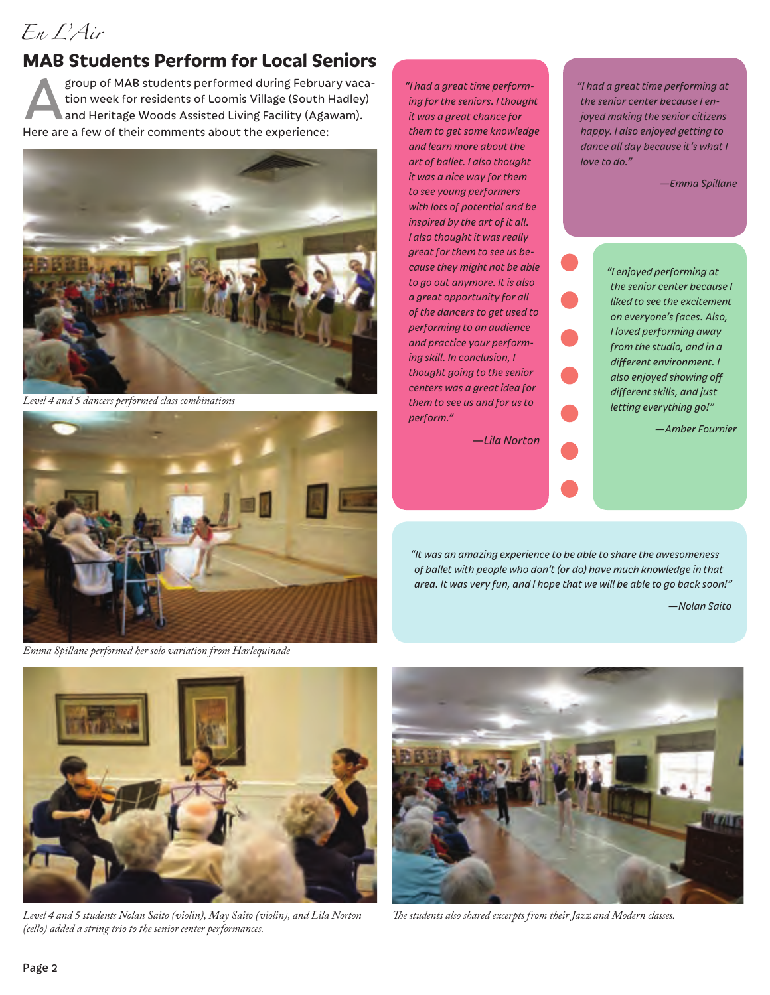### *En L'Air*

### **MAB Students Perform for Local Seniors**

group of MAB students performed during February vacation week for residents of Loomis Village (South Hadley) and Heritage Woods Assisted Living Facility (Agawam). Here are a few of their comments about the experience:



*Level 4 and 5 dancers performed class combinations*



*Emma Spillane performed her solo variation from Harlequinade*

*"I had a great time performing for the seniors. I thought it was a great chance for them to get some knowledge and learn more about the art of ballet. I also thought it was a nice way for them to see young performers with lots of potential and be inspired by the art of it all. I also thought it was really great for them to see us because they might not be able to go out anymore. It is also a great opportunity for all of the dancers to get used to performing to an audience and practice your performing skill. In conclusion, I thought going to the senior centers was a great idea for them to see us and for us to perform."* 

*—Lila Norton*

*"I had a great time performing at the senior center because I enjoyed making the senior citizens happy. I also enjoyed getting to dance all day because it's what I love to do."* 

*—Emma Spillane*

*"I enjoyed performing at the senior center because I liked to see the excitement on everyone's faces. Also, I loved performing away from the studio, and in a*   $d$ *ifferent environment. I* also enjoyed showing off  $d$ *ifferent skills, and just letting everything go!"*

*—Amber Fournier*

*"It was an amazing experience to be able to share the awesomeness of ballet with people who don't (or do) have much knowledge in that area. It was very fun, and I hope that we will be able to go back soon!"*

*—Nolan Saito*



*Level 4 and 5 students Nolan Saito (violin), May Saito (violin), and Lila Norton (cello) added a string trio to the senior center performances.* 



*e students also shared excerpts from their Jazz and Modern classes.*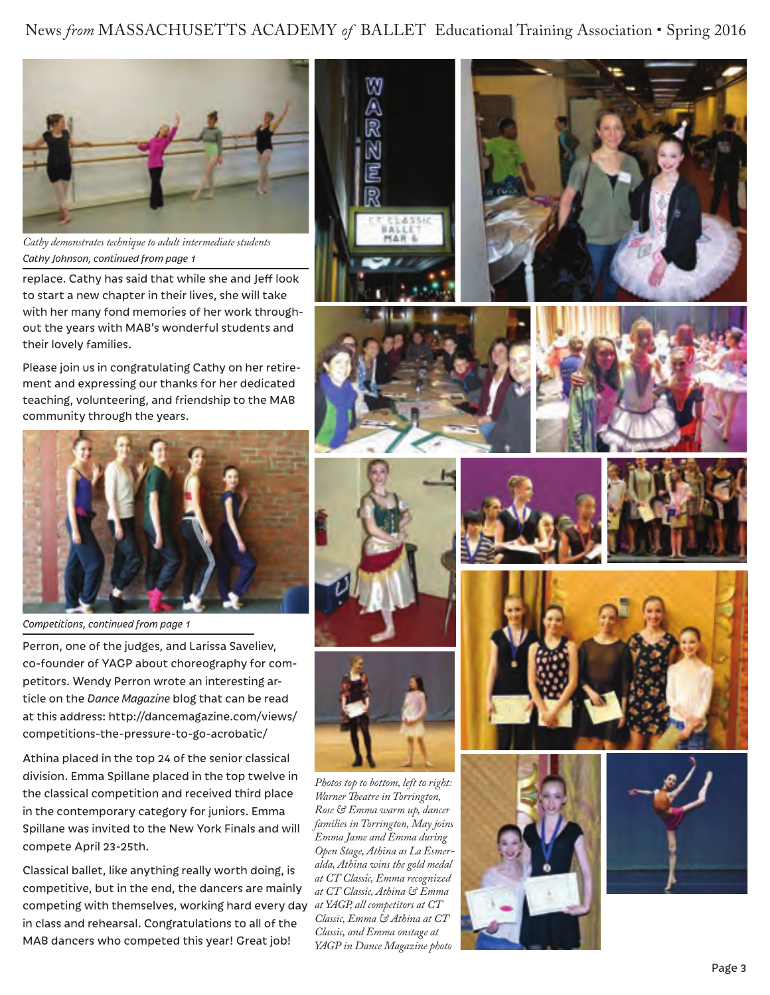News *from* MASSACHUSETTS ACADEMY *of* BALLET Educational Training Association • Spring 2016



*Cathy Johnson, continued from page 1 Cathy demonstrates technique to adult intermediate students*

replace. Cathy has said that while she and Jeff look to start a new chapter in their lives, she will take with her many fond memories of her work throughout the years with MAB's wonderful students and their lovely families.

Please join us in congratulating Cathy on her retirement and expressing our thanks for her dedicated teaching, volunteering, and friendship to the MAB community through the years.



*Competitions, continued from page 1*

Perron, one of the judges, and Larissa Saveliev, co-founder of YAGP about choreography for competitors. Wendy Perron wrote an interesting article on the *Dance Magazine* blog that can be read at this address: http://dancemagazine.com/views/ competitions-the-pressure-to-go-acrobatic/

Athina placed in the top 24 of the senior classical division. Emma Spillane placed in the top twelve in the classical competition and received third place in the contemporary category for juniors. Emma Spillane was invited to the New York Finals and will compete April 23-25th.

Classical ballet, like anything really worth doing, is competitive, but in the end, the dancers are mainly competing with themselves, working hard every day *at YAGP, all competitors at CT*  in class and rehearsal. Congratulations to all of the MAB dancers who competed this year! Great job!















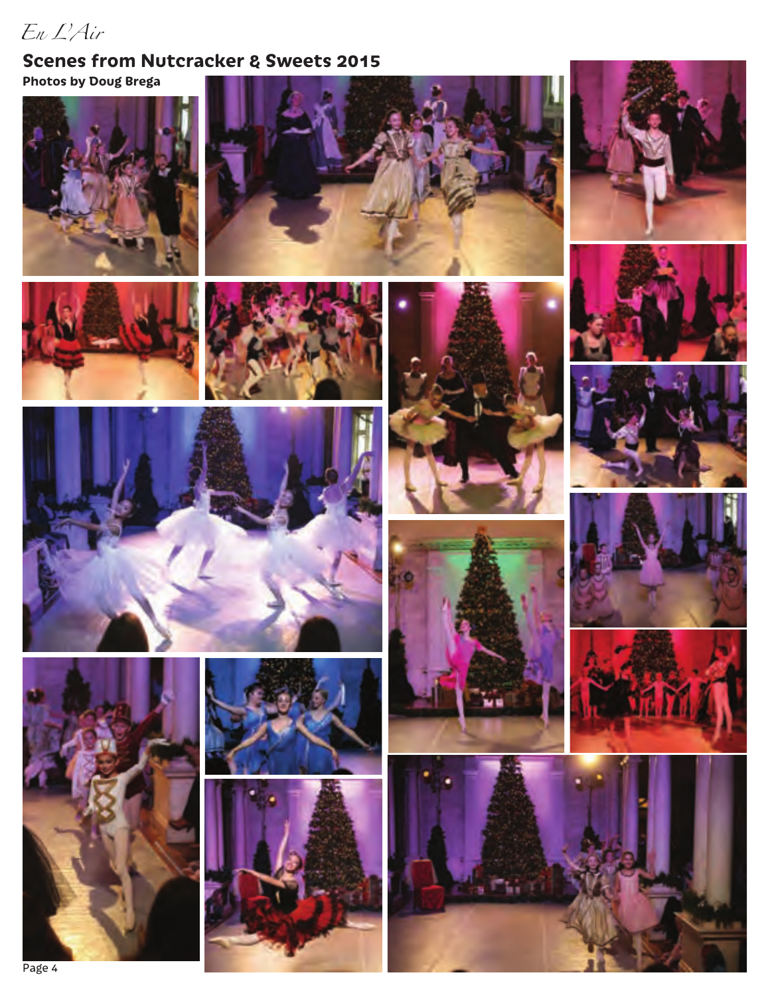### *En L'Air*

### **Scenes from Nutcracker & Sweets 2015 Photos by Doug Brega**































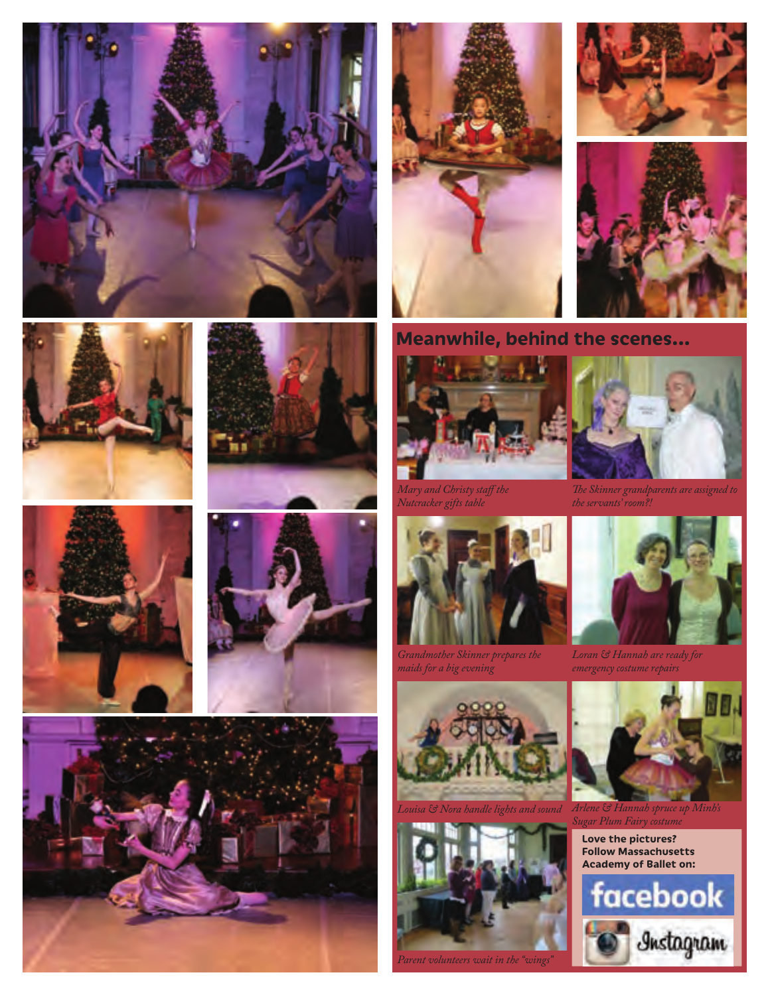

















**Meanwhile, behind the scenes...**



*Mary and Christy staff the Nutcracker gifts table*



*Grandmother Skinner prepares the maids for a big evening*





*Parent volunteers wait in the "wings"*



*e Skinner grandparents are assigned to the servants' room?!*



*Loran & Hannah are ready for emergency costume repairs*



*Louisa & Nora handle lights and sound Arlene & Hannah spruce up Minh's Sugar Plum Fairy costume*

**Love the pictures? Follow Massachusetts Academy of Ballet on:**

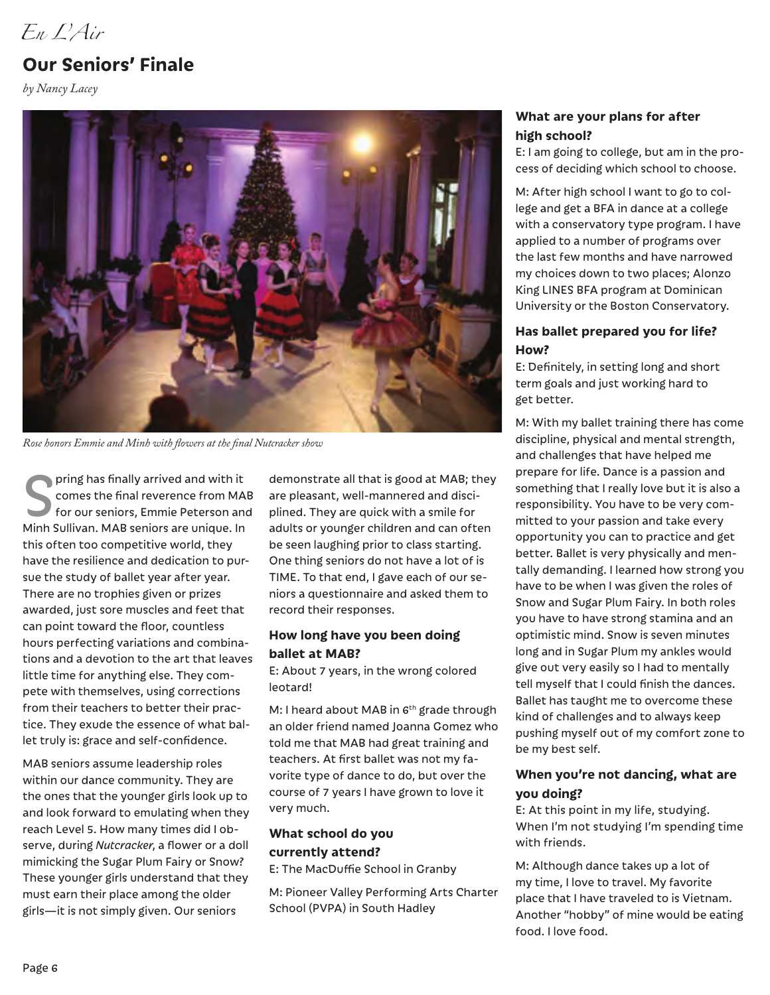*En L'Air*

### **Our Seniors' Finale**

*by Nancy Lacey*



*Rose honors Emmie and Minh with flowers at the final Nutcracker show* 

pring has finally arrived and with it comes the final reverence from MAB for our seniors, Emmie Peterson and Minh Sullivan. MAB seniors are unique. In this often too competitive world, they have the resilience and dedication to pursue the study of ballet year after year. There are no trophies given or prizes awarded, just sore muscles and feet that can point toward the floor, countless hours perfecting variations and combinations and a devotion to the art that leaves little time for anything else. They compete with themselves, using corrections from their teachers to better their practice. They exude the essence of what ballet truly is: grace and self-confidence.

MAB seniors assume leadership roles within our dance community. They are the ones that the younger girls look up to and look forward to emulating when they reach Level 5. How many times did I observe, during *Nutcracker*, a flower or a doll mimicking the Sugar Plum Fairy or Snow? These younger girls understand that they must earn their place among the older girls—it is not simply given. Our seniors

demonstrate all that is good at MAB; they are pleasant, well-mannered and disciplined. They are quick with a smile for adults or younger children and can often be seen laughing prior to class starting. One thing seniors do not have a lot of is TIME. To that end, I gave each of our seniors a questionnaire and asked them to record their responses.

#### **How long have you been doing ballet at MAB?**

E: About 7 years, in the wrong colored leotard!

M: I heard about MAB in  $6<sup>th</sup>$  grade through an older friend named Joanna Gomez who told me that MAB had great training and teachers. At first ballet was not my favorite type of dance to do, but over the course of 7 years I have grown to love it very much.

#### **What school do you currently attend?**

E: The MacDuffie School in Granby

M: Pioneer Valley Performing Arts Charter School (PVPA) in South Hadley

#### **What are your plans for after high school?**

E: I am going to college, but am in the process of deciding which school to choose.

M: After high school I want to go to college and get a BFA in dance at a college with a conservatory type program. I have applied to a number of programs over the last few months and have narrowed my choices down to two places; Alonzo King LINES BFA program at Dominican University or the Boston Conservatory.

#### **Has ballet prepared you for life? How?**

E: Definitely, in setting long and short term goals and just working hard to get better.

M: With my ballet training there has come discipline, physical and mental strength, and challenges that have helped me prepare for life. Dance is a passion and something that I really love but it is also a responsibility. You have to be very committed to your passion and take every opportunity you can to practice and get better. Ballet is very physically and mentally demanding. I learned how strong you have to be when I was given the roles of Snow and Sugar Plum Fairy. In both roles you have to have strong stamina and an optimistic mind. Snow is seven minutes long and in Sugar Plum my ankles would give out very easily so I had to mentally tell myself that I could finish the dances. Ballet has taught me to overcome these kind of challenges and to always keep pushing myself out of my comfort zone to be my best self.

#### **When you're not dancing, what are you doing?**

E: At this point in my life, studying. When I'm not studying I'm spending time with friends.

M: Although dance takes up a lot of my time, I love to travel. My favorite place that I have traveled to is Vietnam. Another "hobby" of mine would be eating food. I love food.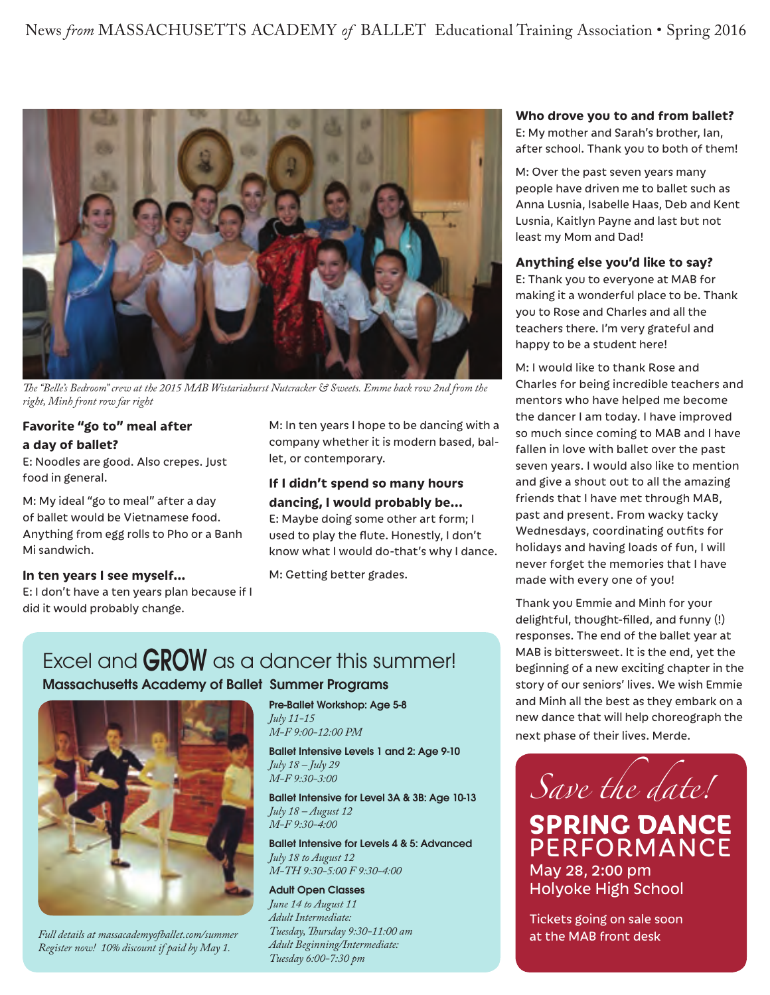

*e "Belle's Bedroom" crew at the 2015 MAB Wistariahurst Nutcracker & Sweets. Emme back row 2nd from the right, Minh front row far right*

#### **Favorite "go to" meal after a day of ballet?**

E: Noodles are good. Also crepes. Just food in general.

M: My ideal "go to meal" after a day of ballet would be Vietnamese food. Anything from egg rolls to Pho or a Banh Mi sandwich.

#### **In ten years I see myself…**

E: I don't have a ten years plan because if I did it would probably change.

M: In ten years I hope to be dancing with a company whether it is modern based, ballet, or contemporary.

#### **If I didn't spend so many hours dancing, I would probably be...**

E: Maybe doing some other art form; I used to play the flute. Honestly, I don't know what I would do-that's why I dance.

M: Getting better grades.

## Excel and **GROW** as a dancer this summer!

#### Massachusetts Academy of Ballet Summer Programs



*Full details at massacademyofballet.com/summer Register now! 10% discount if paid by May 1.*

Pre-Ballet Workshop: Age 5-8 *July 11-15 M-F 9:00-12:00 PM*

Ballet Intensive Levels 1 and 2: Age 9-10 *July 18 – July 29 M-F 9:30-3:00*

Ballet Intensive for Level 3A & 3B: Age 10-13 *July 18 – August 12 M-F 9:30-4:00*

Ballet Intensive for Levels 4 & 5: Advanced *July 18 to August 12 M-TH 9:30-5:00 F 9:30-4:00*

#### Adult Open Classes

*June 14 to August 11 Adult Intermediate:*  Tuesday, Thursday 9:30-11:00 am *Adult Beginning/Intermediate: Tuesday 6:00-7:30 pm*

### **Who drove you to and from ballet?**

E: My mother and Sarah's brother, Ian, after school. Thank you to both of them!

M: Over the past seven years many people have driven me to ballet such as Anna Lusnia, Isabelle Haas, Deb and Kent Lusnia, Kaitlyn Payne and last but not least my Mom and Dad!

#### **Anything else you'd like to say?**

E: Thank you to everyone at MAB for making it a wonderful place to be. Thank you to Rose and Charles and all the teachers there. I'm very grateful and happy to be a student here!

M: I would like to thank Rose and Charles for being incredible teachers and mentors who have helped me become the dancer I am today. I have improved so much since coming to MAB and I have fallen in love with ballet over the past seven years. I would also like to mention and give a shout out to all the amazing friends that I have met through MAB, past and present. From wacky tacky Wednesdays, coordinating outfits for holidays and having loads of fun, I will never forget the memories that I have made with every one of you!

Thank you Emmie and Minh for your delightful, thought-filled, and funny (!) responses. The end of the ballet year at MAB is bittersweet. It is the end, yet the beginning of a new exciting chapter in the story of our seniors' lives. We wish Emmie and Minh all the best as they embark on a new dance that will help choreograph the next phase of their lives. Merde.



Tickets going on sale soon at the MAB front desk